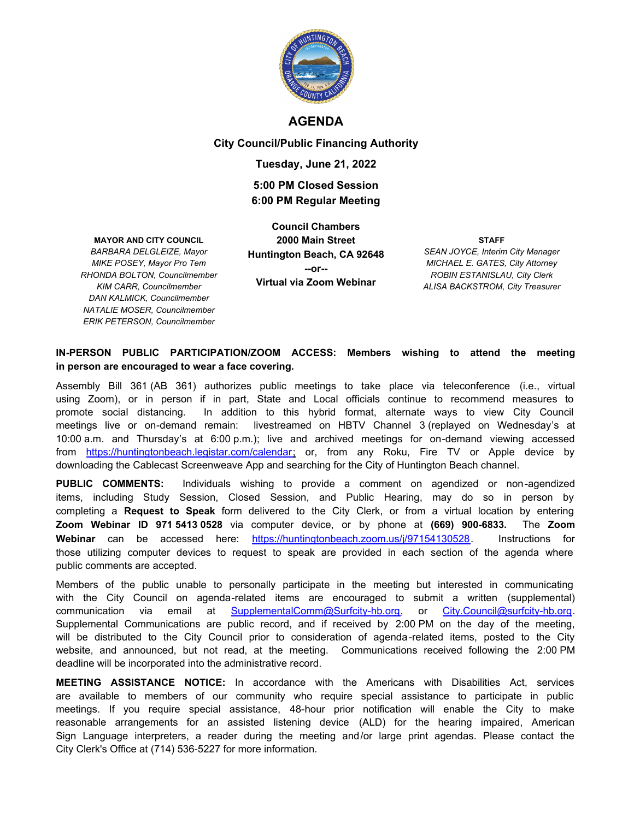

#### **AGENDA**

**City Council/Public Financing Authority**

#### **Tuesday, June 21, 2022**

### **5:00 PM Closed Session 6:00 PM Regular Meeting**

#### **MAYOR AND CITY COUNCIL**

*BARBARA DELGLEIZE, Mayor MIKE POSEY, Mayor Pro Tem RHONDA BOLTON, Councilmember KIM CARR, Councilmember DAN KALMICK, Councilmember NATALIE MOSER, Councilmember ERIK PETERSON, Councilmember*

**Council Chambers 2000 Main Street Huntington Beach, CA 92648 --or-- Virtual via Zoom Webinar**

**STAFF** *SEAN JOYCE, Interim City Manager MICHAEL E. GATES, City Attorney ROBIN ESTANISLAU, City Clerk ALISA BACKSTROM, City Treasurer*

#### **IN-PERSON PUBLIC PARTICIPATION/ZOOM ACCESS: Members wishing to attend the meeting in person are encouraged to wear a face covering.**

Assembly Bill 361 (AB 361) authorizes public meetings to take place via teleconference (i.e., virtual using Zoom), or in person if in part, State and Local officials continue to recommend measures to promote social distancing. In addition to this hybrid format, alternate ways to view City Council meetings live or on-demand remain: livestreamed on HBTV Channel 3 (replayed on Wednesday's at 10:00 a.m. and Thursday's at 6:00 p.m.); live and archived meetings for on-demand viewing accessed from https://huntingtonbeach.legistar.com/calendar; or, from any Roku, Fire TV or Apple device by downloading the Cablecast Screenweave App and searching for the City of Huntington Beach channel.

**PUBLIC COMMENTS:** Individuals wishing to provide a comment on agendized or non-agendized items, including Study Session, Closed Session, and Public Hearing, may do so in person by completing a **Request to Speak** form delivered to the City Clerk, or from a virtual location by entering **Zoom Webinar ID 971 5413 0528** via computer device, or by phone at **(669) 900-6833.** The **Zoom Webinar** can be accessed here: https://huntingtonbeach.zoom.us/j/97154130528. Instructions for those utilizing computer devices to request to speak are provided in each section of the agenda where public comments are accepted.

Members of the public unable to personally participate in the meeting but interested in communicating with the City Council on agenda-related items are encouraged to submit a written (supplemental) communication via email at SupplementalComm@Surfcity-hb.org, or City.Council@surfcity-hb.org. Supplemental Communications are public record, and if received by 2:00 PM on the day of the meeting, will be distributed to the City Council prior to consideration of agenda-related items, posted to the City website, and announced, but not read, at the meeting. Communications received following the 2:00 PM deadline will be incorporated into the administrative record.

**MEETING ASSISTANCE NOTICE:** In accordance with the Americans with Disabilities Act, services are available to members of our community who require special assistance to participate in public meetings. If you require special assistance, 48-hour prior notification will enable the City to make reasonable arrangements for an assisted listening device (ALD) for the hearing impaired, American Sign Language interpreters, a reader during the meeting and/or large print agendas. Please contact the City Clerk's Office at (714) 536-5227 for more information.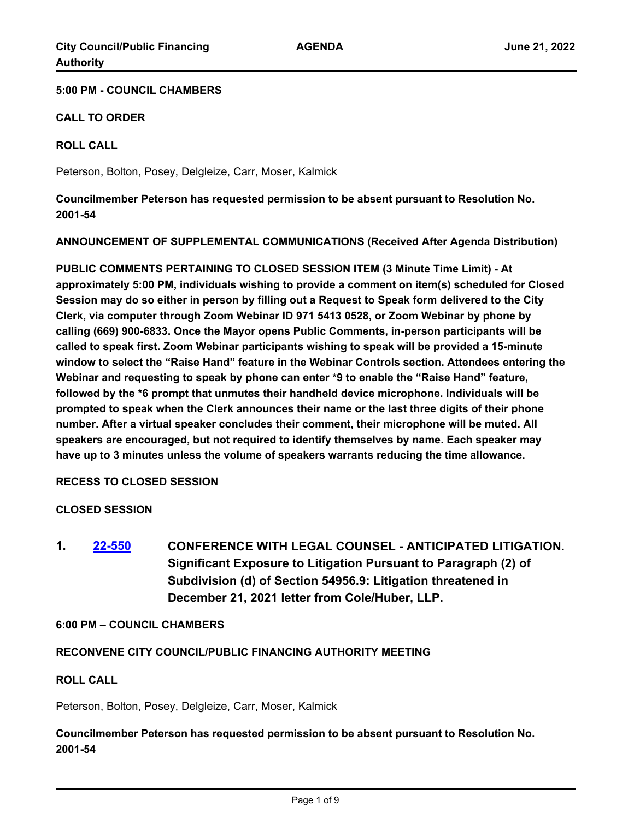#### **5:00 PM - COUNCIL CHAMBERS**

#### **CALL TO ORDER**

#### **ROLL CALL**

Peterson, Bolton, Posey, Delgleize, Carr, Moser, Kalmick

**Councilmember Peterson has requested permission to be absent pursuant to Resolution No. 2001-54**

**ANNOUNCEMENT OF SUPPLEMENTAL COMMUNICATIONS (Received After Agenda Distribution)**

**PUBLIC COMMENTS PERTAINING TO CLOSED SESSION ITEM (3 Minute Time Limit) - At approximately 5:00 PM, individuals wishing to provide a comment on item(s) scheduled for Closed Session may do so either in person by filling out a Request to Speak form delivered to the City Clerk, via computer through Zoom Webinar ID 971 5413 0528, or Zoom Webinar by phone by calling (669) 900-6833. Once the Mayor opens Public Comments, in-person participants will be called to speak first. Zoom Webinar participants wishing to speak will be provided a 15-minute window to select the "Raise Hand" feature in the Webinar Controls section. Attendees entering the Webinar and requesting to speak by phone can enter \*9 to enable the "Raise Hand" feature, followed by the \*6 prompt that unmutes their handheld device microphone. Individuals will be prompted to speak when the Clerk announces their name or the last three digits of their phone number. After a virtual speaker concludes their comment, their microphone will be muted. All speakers are encouraged, but not required to identify themselves by name. Each speaker may have up to 3 minutes unless the volume of speakers warrants reducing the time allowance.**

#### **RECESS TO CLOSED SESSION**

### **CLOSED SESSION**

**1. [22-550](http://huntingtonbeach.legistar.com/gateway.aspx?m=l&id=/matter.aspx?key=5662) CONFERENCE WITH LEGAL COUNSEL - ANTICIPATED LITIGATION. Significant Exposure to Litigation Pursuant to Paragraph (2) of Subdivision (d) of Section 54956.9: Litigation threatened in December 21, 2021 letter from Cole/Huber, LLP.**

#### **6:00 PM – COUNCIL CHAMBERS**

### **RECONVENE CITY COUNCIL/PUBLIC FINANCING AUTHORITY MEETING**

#### **ROLL CALL**

Peterson, Bolton, Posey, Delgleize, Carr, Moser, Kalmick

**Councilmember Peterson has requested permission to be absent pursuant to Resolution No. 2001-54**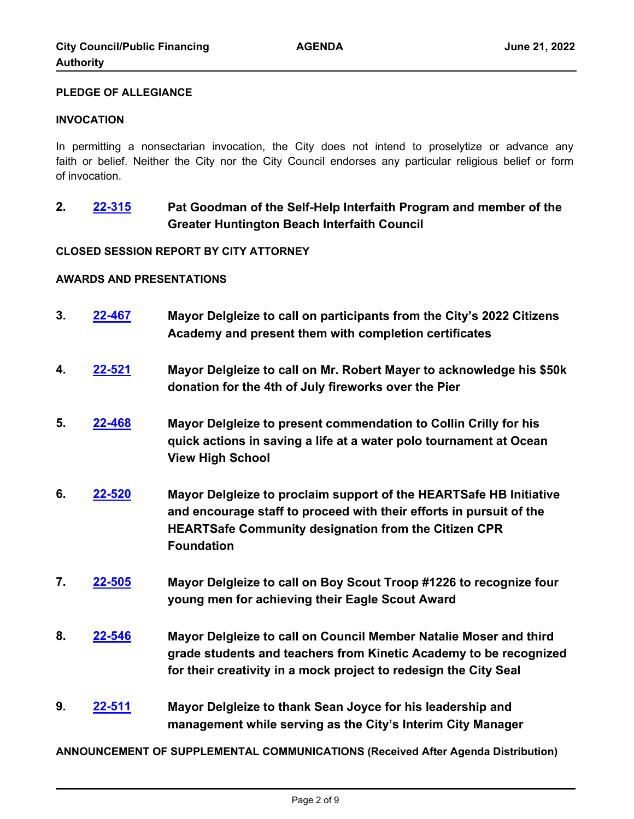#### **PLEDGE OF ALLEGIANCE**

#### **INVOCATION**

In permitting a nonsectarian invocation, the City does not intend to proselytize or advance any faith or belief. Neither the City nor the City Council endorses any particular religious belief or form of invocation.

**2. [22-315](http://huntingtonbeach.legistar.com/gateway.aspx?m=l&id=/matter.aspx?key=5427) Pat Goodman of the Self-Help Interfaith Program and member of the Greater Huntington Beach Interfaith Council**

#### **CLOSED SESSION REPORT BY CITY ATTORNEY**

#### **AWARDS AND PRESENTATIONS**

- **3. [22-467](http://huntingtonbeach.legistar.com/gateway.aspx?m=l&id=/matter.aspx?key=5579) Mayor Delgleize to call on participants from the City's 2022 Citizens Academy and present them with completion certificates**
- **4. [22-521](http://huntingtonbeach.legistar.com/gateway.aspx?m=l&id=/matter.aspx?key=5633) Mayor Delgleize to call on Mr. Robert Mayer to acknowledge his \$50k donation for the 4th of July fireworks over the Pier**
- **5. [22-468](http://huntingtonbeach.legistar.com/gateway.aspx?m=l&id=/matter.aspx?key=5580) Mayor Delgleize to present commendation to Collin Crilly for his quick actions in saving a life at a water polo tournament at Ocean View High School**
- **6. [22-520](http://huntingtonbeach.legistar.com/gateway.aspx?m=l&id=/matter.aspx?key=5632) Mayor Delgleize to proclaim support of the HEARTSafe HB Initiative and encourage staff to proceed with their efforts in pursuit of the HEARTSafe Community designation from the Citizen CPR Foundation**
- **7. [22-505](http://huntingtonbeach.legistar.com/gateway.aspx?m=l&id=/matter.aspx?key=5617) Mayor Delgleize to call on Boy Scout Troop #1226 to recognize four young men for achieving their Eagle Scout Award**
- **8. [22-546](http://huntingtonbeach.legistar.com/gateway.aspx?m=l&id=/matter.aspx?key=5658) Mayor Delgleize to call on Council Member Natalie Moser and third grade students and teachers from Kinetic Academy to be recognized for their creativity in a mock project to redesign the City Seal**
- **9. [22-511](http://huntingtonbeach.legistar.com/gateway.aspx?m=l&id=/matter.aspx?key=5623) Mayor Delgleize to thank Sean Joyce for his leadership and management while serving as the City's Interim City Manager**

**ANNOUNCEMENT OF SUPPLEMENTAL COMMUNICATIONS (Received After Agenda Distribution)**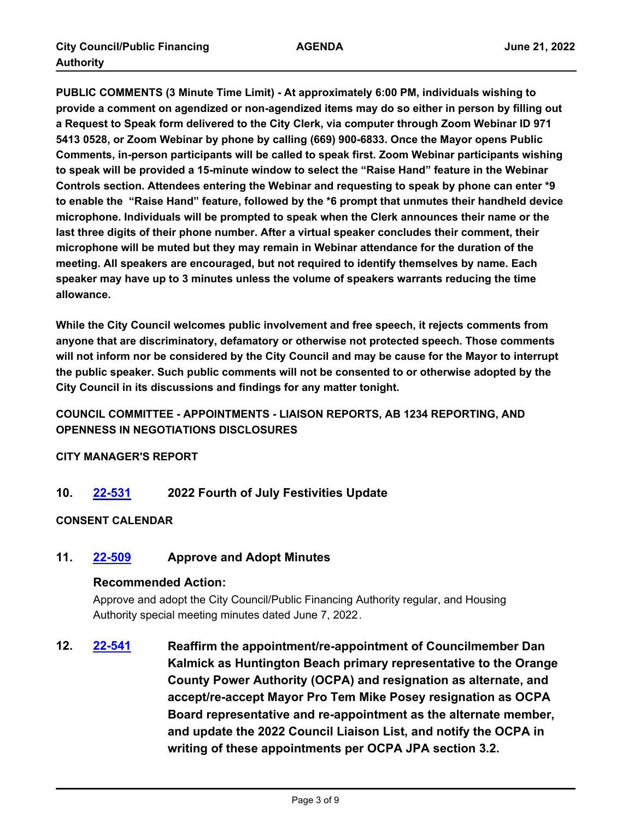**PUBLIC COMMENTS (3 Minute Time Limit) - At approximately 6:00 PM, individuals wishing to provide a comment on agendized or non-agendized items may do so either in person by filling out a Request to Speak form delivered to the City Clerk, via computer through Zoom Webinar ID 971 5413 0528, or Zoom Webinar by phone by calling (669) 900-6833. Once the Mayor opens Public Comments, in-person participants will be called to speak first. Zoom Webinar participants wishing to speak will be provided a 15-minute window to select the "Raise Hand" feature in the Webinar Controls section. Attendees entering the Webinar and requesting to speak by phone can enter \*9 to enable the "Raise Hand" feature, followed by the \*6 prompt that unmutes their handheld device microphone. Individuals will be prompted to speak when the Clerk announces their name or the last three digits of their phone number. After a virtual speaker concludes their comment, their microphone will be muted but they may remain in Webinar attendance for the duration of the meeting. All speakers are encouraged, but not required to identify themselves by name. Each speaker may have up to 3 minutes unless the volume of speakers warrants reducing the time allowance.**

**While the City Council welcomes public involvement and free speech, it rejects comments from anyone that are discriminatory, defamatory or otherwise not protected speech. Those comments will not inform nor be considered by the City Council and may be cause for the Mayor to interrupt the public speaker. Such public comments will not be consented to or otherwise adopted by the City Council in its discussions and findings for any matter tonight.**

## **COUNCIL COMMITTEE - APPOINTMENTS - LIAISON REPORTS, AB 1234 REPORTING, AND OPENNESS IN NEGOTIATIONS DISCLOSURES**

**CITY MANAGER'S REPORT**

**10. [22-531](http://huntingtonbeach.legistar.com/gateway.aspx?m=l&id=/matter.aspx?key=5643) 2022 Fourth of July Festivities Update**

### **CONSENT CALENDAR**

**11. [22-509](http://huntingtonbeach.legistar.com/gateway.aspx?m=l&id=/matter.aspx?key=5621) Approve and Adopt Minutes**

### **Recommended Action:**

Approve and adopt the City Council/Public Financing Authority regular, and Housing Authority special meeting minutes dated June 7, 2022.

**12. [22-541](http://huntingtonbeach.legistar.com/gateway.aspx?m=l&id=/matter.aspx?key=5653) Reaffirm the appointment/re-appointment of Councilmember Dan Kalmick as Huntington Beach primary representative to the Orange County Power Authority (OCPA) and resignation as alternate, and accept/re-accept Mayor Pro Tem Mike Posey resignation as OCPA Board representative and re-appointment as the alternate member, and update the 2022 Council Liaison List, and notify the OCPA in writing of these appointments per OCPA JPA section 3.2.**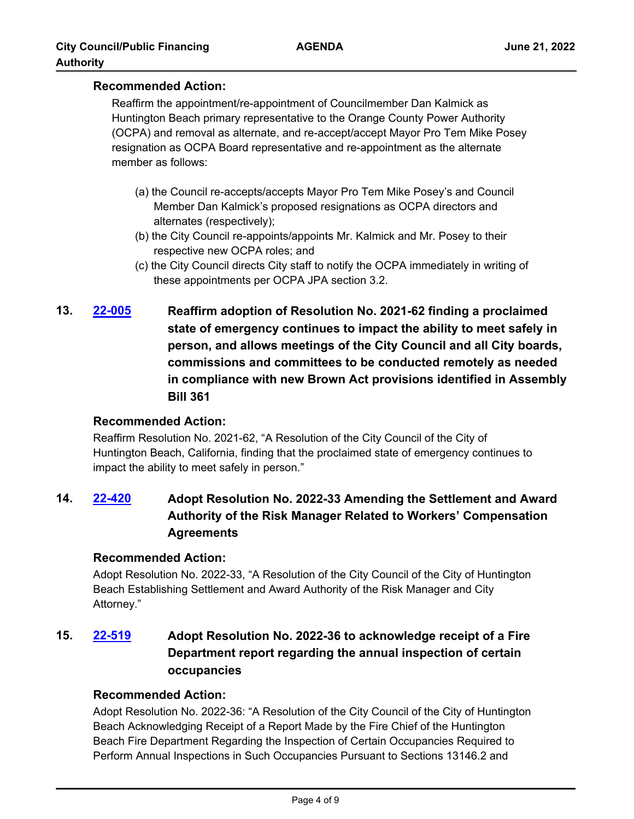### **Recommended Action:**

Reaffirm the appointment/re-appointment of Councilmember Dan Kalmick as Huntington Beach primary representative to the Orange County Power Authority (OCPA) and removal as alternate, and re-accept/accept Mayor Pro Tem Mike Posey resignation as OCPA Board representative and re-appointment as the alternate member as follows:

- (a) the Council re-accepts/accepts Mayor Pro Tem Mike Posey's and Council Member Dan Kalmick's proposed resignations as OCPA directors and alternates (respectively);
- (b) the City Council re-appoints/appoints Mr. Kalmick and Mr. Posey to their respective new OCPA roles; and
- (c) the City Council directs City staff to notify the OCPA immediately in writing of these appointments per OCPA JPA section 3.2.
- **13. [22-005](http://huntingtonbeach.legistar.com/gateway.aspx?m=l&id=/matter.aspx?key=5117) Reaffirm adoption of Resolution No. 2021-62 finding a proclaimed state of emergency continues to impact the ability to meet safely in person, and allows meetings of the City Council and all City boards, commissions and committees to be conducted remotely as needed in compliance with new Brown Act provisions identified in Assembly Bill 361**

## **Recommended Action:**

Reaffirm Resolution No. 2021-62, "A Resolution of the City Council of the City of Huntington Beach, California, finding that the proclaimed state of emergency continues to impact the ability to meet safely in person."

# **14. [22-420](http://huntingtonbeach.legistar.com/gateway.aspx?m=l&id=/matter.aspx?key=5532) Adopt Resolution No. 2022-33 Amending the Settlement and Award Authority of the Risk Manager Related to Workers' Compensation Agreements**

## **Recommended Action:**

Adopt Resolution No. 2022-33, "A Resolution of the City Council of the City of Huntington Beach Establishing Settlement and Award Authority of the Risk Manager and City Attorney."

# **15. [22-519](http://huntingtonbeach.legistar.com/gateway.aspx?m=l&id=/matter.aspx?key=5631) Adopt Resolution No. 2022-36 to acknowledge receipt of a Fire Department report regarding the annual inspection of certain occupancies**

## **Recommended Action:**

Adopt Resolution No. 2022-36: "A Resolution of the City Council of the City of Huntington Beach Acknowledging Receipt of a Report Made by the Fire Chief of the Huntington Beach Fire Department Regarding the Inspection of Certain Occupancies Required to Perform Annual Inspections in Such Occupancies Pursuant to Sections 13146.2 and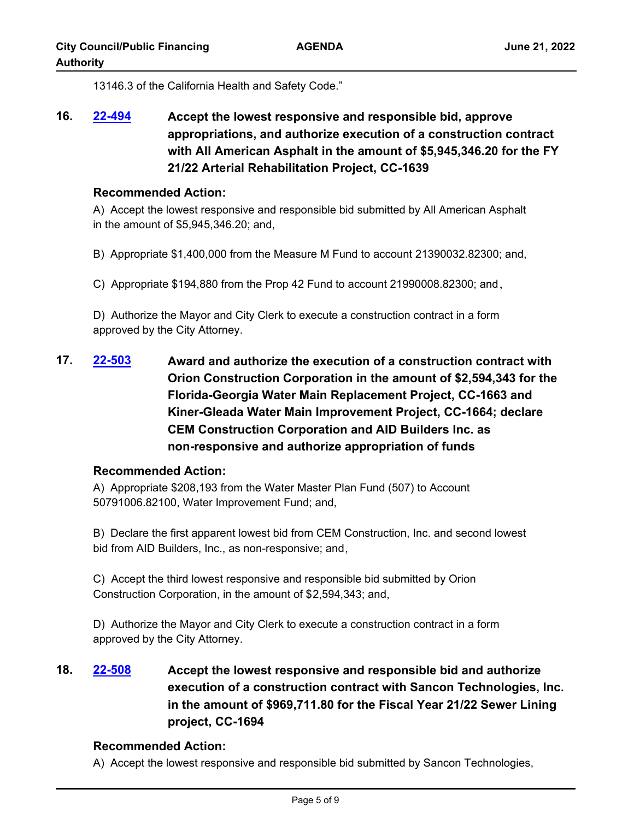13146.3 of the California Health and Safety Code."

**16. [22-494](http://huntingtonbeach.legistar.com/gateway.aspx?m=l&id=/matter.aspx?key=5606) Accept the lowest responsive and responsible bid, approve appropriations, and authorize execution of a construction contract with All American Asphalt in the amount of \$5,945,346.20 for the FY 21/22 Arterial Rehabilitation Project, CC-1639**

#### **Recommended Action:**

A) Accept the lowest responsive and responsible bid submitted by All American Asphalt in the amount of \$5,945,346.20; and,

- B) Appropriate \$1,400,000 from the Measure M Fund to account 21390032.82300; and,
- C) Appropriate \$194,880 from the Prop 42 Fund to account 21990008.82300; and,

D) Authorize the Mayor and City Clerk to execute a construction contract in a form approved by the City Attorney.

**17. [22-503](http://huntingtonbeach.legistar.com/gateway.aspx?m=l&id=/matter.aspx?key=5615) Award and authorize the execution of a construction contract with Orion Construction Corporation in the amount of \$2,594,343 for the Florida-Georgia Water Main Replacement Project, CC-1663 and Kiner-Gleada Water Main Improvement Project, CC-1664; declare CEM Construction Corporation and AID Builders Inc. as non-responsive and authorize appropriation of funds**

### **Recommended Action:**

A) Appropriate \$208,193 from the Water Master Plan Fund (507) to Account 50791006.82100, Water Improvement Fund; and,

B) Declare the first apparent lowest bid from CEM Construction, Inc. and second lowest bid from AID Builders, Inc., as non-responsive; and,

C) Accept the third lowest responsive and responsible bid submitted by Orion Construction Corporation, in the amount of \$2,594,343; and,

D) Authorize the Mayor and City Clerk to execute a construction contract in a form approved by the City Attorney.

**18. [22-508](http://huntingtonbeach.legistar.com/gateway.aspx?m=l&id=/matter.aspx?key=5620) Accept the lowest responsive and responsible bid and authorize execution of a construction contract with Sancon Technologies, Inc. in the amount of \$969,711.80 for the Fiscal Year 21/22 Sewer Lining project, CC-1694**

### **Recommended Action:**

A) Accept the lowest responsive and responsible bid submitted by Sancon Technologies,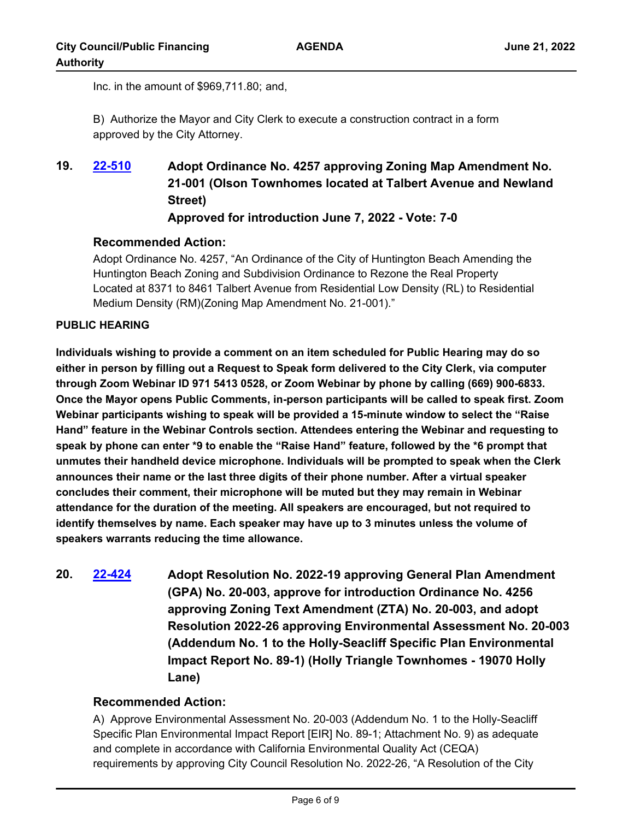Inc. in the amount of \$969,711.80; and,

B) Authorize the Mayor and City Clerk to execute a construction contract in a form approved by the City Attorney.

## **19. [22-510](http://huntingtonbeach.legistar.com/gateway.aspx?m=l&id=/matter.aspx?key=5622) Adopt Ordinance No. 4257 approving Zoning Map Amendment No. 21-001 (Olson Townhomes located at Talbert Avenue and Newland Street) Approved for introduction June 7, 2022 - Vote: 7-0**

### **Recommended Action:**

Adopt Ordinance No. 4257, "An Ordinance of the City of Huntington Beach Amending the Huntington Beach Zoning and Subdivision Ordinance to Rezone the Real Property Located at 8371 to 8461 Talbert Avenue from Residential Low Density (RL) to Residential Medium Density (RM)(Zoning Map Amendment No. 21-001)."

#### **PUBLIC HEARING**

**Individuals wishing to provide a comment on an item scheduled for Public Hearing may do so either in person by filling out a Request to Speak form delivered to the City Clerk, via computer through Zoom Webinar ID 971 5413 0528, or Zoom Webinar by phone by calling (669) 900-6833. Once the Mayor opens Public Comments, in-person participants will be called to speak first. Zoom Webinar participants wishing to speak will be provided a 15-minute window to select the "Raise Hand" feature in the Webinar Controls section. Attendees entering the Webinar and requesting to speak by phone can enter \*9 to enable the "Raise Hand" feature, followed by the \*6 prompt that unmutes their handheld device microphone. Individuals will be prompted to speak when the Clerk announces their name or the last three digits of their phone number. After a virtual speaker concludes their comment, their microphone will be muted but they may remain in Webinar attendance for the duration of the meeting. All speakers are encouraged, but not required to identify themselves by name. Each speaker may have up to 3 minutes unless the volume of speakers warrants reducing the time allowance.**

**20. [22-424](http://huntingtonbeach.legistar.com/gateway.aspx?m=l&id=/matter.aspx?key=5536) Adopt Resolution No. 2022-19 approving General Plan Amendment (GPA) No. 20-003, approve for introduction Ordinance No. 4256 approving Zoning Text Amendment (ZTA) No. 20-003, and adopt Resolution 2022-26 approving Environmental Assessment No. 20-003 (Addendum No. 1 to the Holly-Seacliff Specific Plan Environmental Impact Report No. 89-1) (Holly Triangle Townhomes - 19070 Holly Lane)**

### **Recommended Action:**

A) Approve Environmental Assessment No. 20-003 (Addendum No. 1 to the Holly-Seacliff Specific Plan Environmental Impact Report [EIR] No. 89-1; Attachment No. 9) as adequate and complete in accordance with California Environmental Quality Act (CEQA) requirements by approving City Council Resolution No. 2022-26, "A Resolution of the City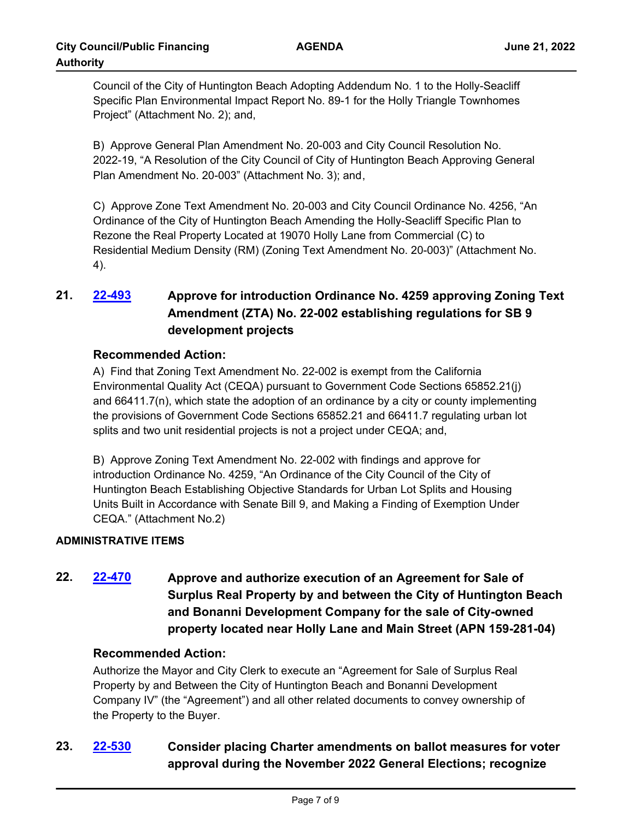Council of the City of Huntington Beach Adopting Addendum No. 1 to the Holly-Seacliff Specific Plan Environmental Impact Report No. 89-1 for the Holly Triangle Townhomes Project" (Attachment No. 2); and,

B) Approve General Plan Amendment No. 20-003 and City Council Resolution No. 2022-19, "A Resolution of the City Council of City of Huntington Beach Approving General Plan Amendment No. 20-003" (Attachment No. 3); and,

C) Approve Zone Text Amendment No. 20-003 and City Council Ordinance No. 4256, "An Ordinance of the City of Huntington Beach Amending the Holly-Seacliff Specific Plan to Rezone the Real Property Located at 19070 Holly Lane from Commercial (C) to Residential Medium Density (RM) (Zoning Text Amendment No. 20-003)" (Attachment No. 4).

# **21. [22-493](http://huntingtonbeach.legistar.com/gateway.aspx?m=l&id=/matter.aspx?key=5605) Approve for introduction Ordinance No. 4259 approving Zoning Text Amendment (ZTA) No. 22-002 establishing regulations for SB 9 development projects**

## **Recommended Action:**

A) Find that Zoning Text Amendment No. 22-002 is exempt from the California Environmental Quality Act (CEQA) pursuant to Government Code Sections 65852.21(j) and 66411.7(n), which state the adoption of an ordinance by a city or county implementing the provisions of Government Code Sections 65852.21 and 66411.7 regulating urban lot splits and two unit residential projects is not a project under CEQA; and,

B) Approve Zoning Text Amendment No. 22-002 with findings and approve for introduction Ordinance No. 4259, "An Ordinance of the City Council of the City of Huntington Beach Establishing Objective Standards for Urban Lot Splits and Housing Units Built in Accordance with Senate Bill 9, and Making a Finding of Exemption Under CEQA." (Attachment No.2)

## **ADMINISTRATIVE ITEMS**

**22. [22-470](http://huntingtonbeach.legistar.com/gateway.aspx?m=l&id=/matter.aspx?key=5582) Approve and authorize execution of an Agreement for Sale of Surplus Real Property by and between the City of Huntington Beach and Bonanni Development Company for the sale of City-owned property located near Holly Lane and Main Street (APN 159-281-04)**

## **Recommended Action:**

Authorize the Mayor and City Clerk to execute an "Agreement for Sale of Surplus Real Property by and Between the City of Huntington Beach and Bonanni Development Company IV" (the "Agreement") and all other related documents to convey ownership of the Property to the Buyer.

# **23. [22-530](http://huntingtonbeach.legistar.com/gateway.aspx?m=l&id=/matter.aspx?key=5642) Consider placing Charter amendments on ballot measures for voter approval during the November 2022 General Elections; recognize**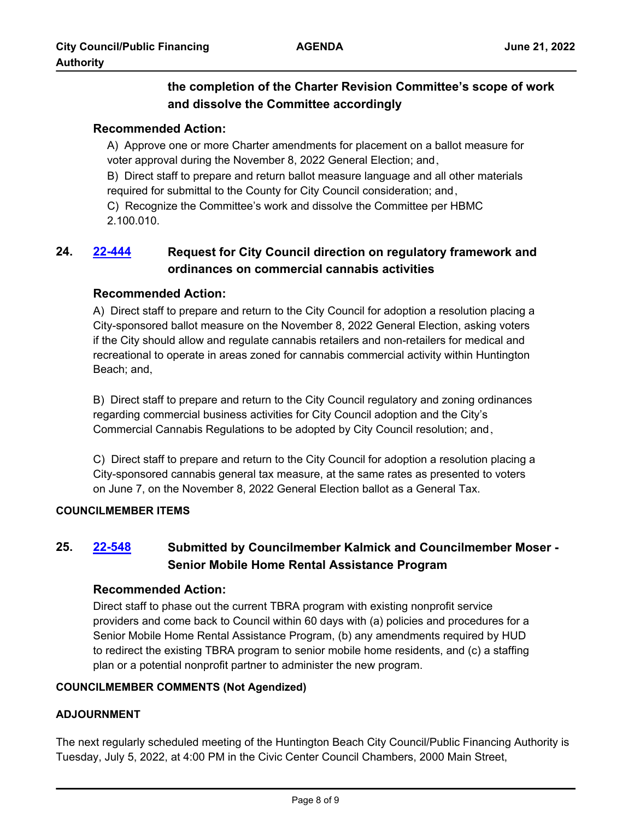## **the completion of the Charter Revision Committee's scope of work and dissolve the Committee accordingly**

### **Recommended Action:**

A) Approve one or more Charter amendments for placement on a ballot measure for voter approval during the November 8, 2022 General Election; and,

B) Direct staff to prepare and return ballot measure language and all other materials required for submittal to the County for City Council consideration; and,

C) Recognize the Committee's work and dissolve the Committee per HBMC 2.100.010.

## **24. [22-444](http://huntingtonbeach.legistar.com/gateway.aspx?m=l&id=/matter.aspx?key=5556) Request for City Council direction on regulatory framework and ordinances on commercial cannabis activities**

### **Recommended Action:**

A) Direct staff to prepare and return to the City Council for adoption a resolution placing a City-sponsored ballot measure on the November 8, 2022 General Election, asking voters if the City should allow and regulate cannabis retailers and non-retailers for medical and recreational to operate in areas zoned for cannabis commercial activity within Huntington Beach; and,

B) Direct staff to prepare and return to the City Council regulatory and zoning ordinances regarding commercial business activities for City Council adoption and the City's Commercial Cannabis Regulations to be adopted by City Council resolution; and,

C) Direct staff to prepare and return to the City Council for adoption a resolution placing a City-sponsored cannabis general tax measure, at the same rates as presented to voters on June 7, on the November 8, 2022 General Election ballot as a General Tax.

### **COUNCILMEMBER ITEMS**

## **25. [22-548](http://huntingtonbeach.legistar.com/gateway.aspx?m=l&id=/matter.aspx?key=5660) Submitted by Councilmember Kalmick and Councilmember Moser - Senior Mobile Home Rental Assistance Program**

### **Recommended Action:**

Direct staff to phase out the current TBRA program with existing nonprofit service providers and come back to Council within 60 days with (a) policies and procedures for a Senior Mobile Home Rental Assistance Program, (b) any amendments required by HUD to redirect the existing TBRA program to senior mobile home residents, and (c) a staffing plan or a potential nonprofit partner to administer the new program.

### **COUNCILMEMBER COMMENTS (Not Agendized)**

### **ADJOURNMENT**

The next regularly scheduled meeting of the Huntington Beach City Council/Public Financing Authority is Tuesday, July 5, 2022, at 4:00 PM in the Civic Center Council Chambers, 2000 Main Street,